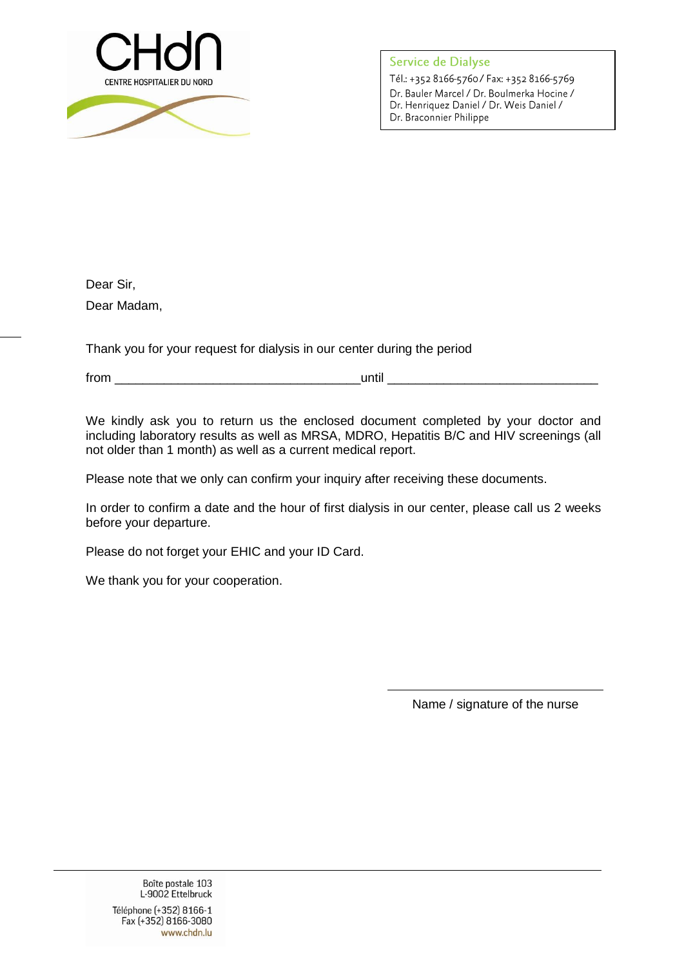

Service de Dialyse Tél.: +352 8166-5760 / Fax: +352 8166-5769 Dr. Bauler Marcel / Dr. Boulmerka Hocine / Dr. Henriquez Daniel / Dr. Weis Daniel / Dr. Braconnier Philippe

Dear Sir, Dear Madam,

Thank you for your request for dialysis in our center during the period

from \_\_\_\_\_\_\_\_\_\_\_\_\_\_\_\_\_\_\_\_\_\_\_\_\_\_\_\_\_\_\_\_\_\_\_until \_\_\_\_\_\_\_\_\_\_\_\_\_\_\_\_\_\_\_\_\_\_\_\_\_\_\_\_\_\_

We kindly ask you to return us the enclosed document completed by your doctor and including laboratory results as well as MRSA, MDRO, Hepatitis B/C and HIV screenings (all not older than 1 month) as well as a current medical report.

Please note that we only can confirm your inquiry after receiving these documents.

In order to confirm a date and the hour of first dialysis in our center, please call us 2 weeks before your departure.

Please do not forget your EHIC and your ID Card.

We thank you for your cooperation.

Name / signature of the nurse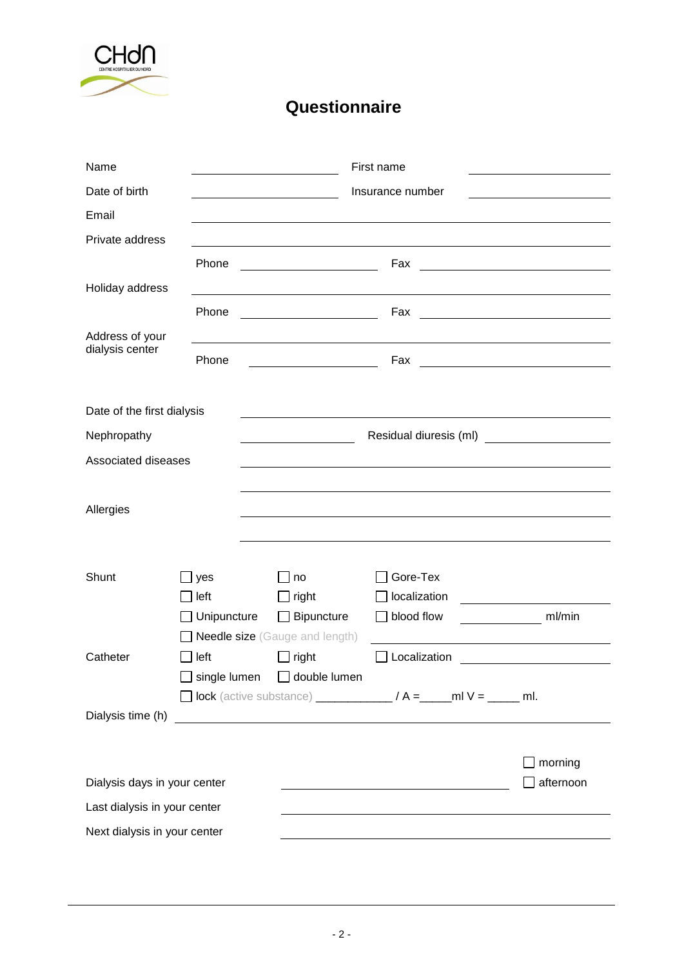

## **Questionnaire**

| Name                         |                    |                                                                                                                                                                                                                                     | First name                                                                    |                                                                                                                     |
|------------------------------|--------------------|-------------------------------------------------------------------------------------------------------------------------------------------------------------------------------------------------------------------------------------|-------------------------------------------------------------------------------|---------------------------------------------------------------------------------------------------------------------|
| Date of birth                |                    |                                                                                                                                                                                                                                     | Insurance number                                                              |                                                                                                                     |
| Email                        |                    |                                                                                                                                                                                                                                     |                                                                               |                                                                                                                     |
| Private address              |                    |                                                                                                                                                                                                                                     |                                                                               |                                                                                                                     |
|                              | Phone              |                                                                                                                                                                                                                                     | Fax                                                                           | <u> 1989 - Johann Barbara, martxa eta idazlea (h. 1989).</u>                                                        |
| Holiday address              |                    |                                                                                                                                                                                                                                     |                                                                               |                                                                                                                     |
|                              | Phone              |                                                                                                                                                                                                                                     | Fax                                                                           | <u> 1989 - Johann Barbara, martxa alemaniar a</u>                                                                   |
| Address of your              |                    |                                                                                                                                                                                                                                     |                                                                               |                                                                                                                     |
| dialysis center              | Phone              |                                                                                                                                                                                                                                     | Fax                                                                           | <u> 1980 - Johann Barn, mars eta bainar eta baina eta baina eta baina eta baina eta baina eta baina eta baina e</u> |
|                              |                    |                                                                                                                                                                                                                                     |                                                                               |                                                                                                                     |
| Date of the first dialysis   |                    |                                                                                                                                                                                                                                     |                                                                               |                                                                                                                     |
| Nephropathy                  |                    | Residual diuresis (ml) <b>contracts</b> and the set of the set of the set of the set of the set of the set of the set of the set of the set of the set of the set of the set of the set of the set of the set of the set of the set |                                                                               |                                                                                                                     |
| Associated diseases          |                    |                                                                                                                                                                                                                                     |                                                                               |                                                                                                                     |
|                              |                    |                                                                                                                                                                                                                                     |                                                                               |                                                                                                                     |
| Allergies                    |                    |                                                                                                                                                                                                                                     |                                                                               |                                                                                                                     |
|                              |                    |                                                                                                                                                                                                                                     |                                                                               |                                                                                                                     |
|                              |                    |                                                                                                                                                                                                                                     |                                                                               |                                                                                                                     |
| Shunt                        | yes                | no                                                                                                                                                                                                                                  | Gore-Tex                                                                      |                                                                                                                     |
|                              | left               | right                                                                                                                                                                                                                               | localization                                                                  |                                                                                                                     |
|                              | $\Box$ Unipuncture | $\Box$ Bipuncture                                                                                                                                                                                                                   | $\Box$ blood flow                                                             | $\frac{m}{m}$ ml/min                                                                                                |
|                              |                    | <b>Needle size</b> (Gauge and length)                                                                                                                                                                                               |                                                                               |                                                                                                                     |
| Catheter                     | left               | right                                                                                                                                                                                                                               | Localization                                                                  |                                                                                                                     |
|                              | single lumen       | double lumen                                                                                                                                                                                                                        |                                                                               |                                                                                                                     |
|                              |                    |                                                                                                                                                                                                                                     | <b>O</b> lock (active substance) ________________ / A =_____ ml V = _____ ml. |                                                                                                                     |
| Dialysis time (h)            |                    |                                                                                                                                                                                                                                     |                                                                               |                                                                                                                     |
|                              |                    |                                                                                                                                                                                                                                     |                                                                               |                                                                                                                     |
|                              |                    |                                                                                                                                                                                                                                     |                                                                               | morning                                                                                                             |
| Dialysis days in your center |                    |                                                                                                                                                                                                                                     |                                                                               | afternoon                                                                                                           |
| Last dialysis in your center |                    |                                                                                                                                                                                                                                     |                                                                               |                                                                                                                     |
| Next dialysis in your center |                    |                                                                                                                                                                                                                                     |                                                                               |                                                                                                                     |